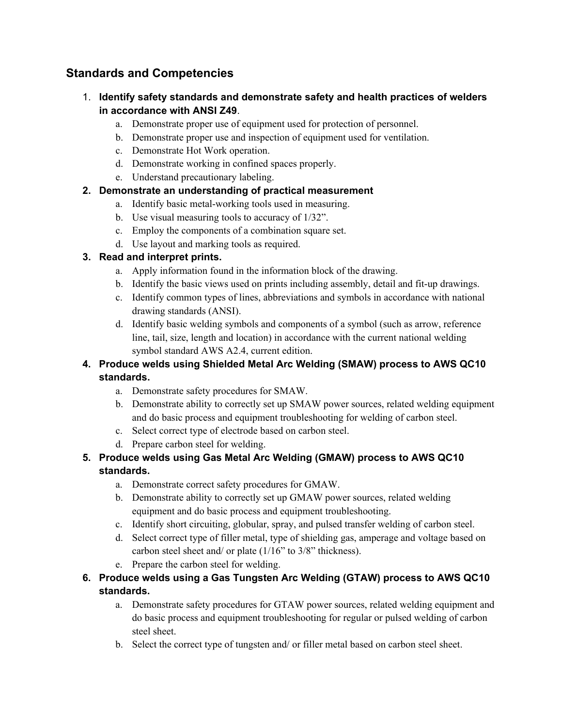# **Standards and Competencies**

### 1. **Identify safety standards and demonstrate safety and health practices of welders in accordance with ANSI Z49**.

- a. Demonstrate proper use of equipment used for protection of personnel.
- b. Demonstrate proper use and inspection of equipment used for ventilation.
- c. Demonstrate Hot Work operation.
- d. Demonstrate working in confined spaces properly.
- e. Understand precautionary labeling.

### **2. Demonstrate an understanding of practical measurement**

- a. Identify basic metal-working tools used in measuring.
- b. Use visual measuring tools to accuracy of 1/32".
- c. Employ the components of a combination square set.
- d. Use layout and marking tools as required.

### **3. Read and interpret prints.**

- a. Apply information found in the information block of the drawing.
- b. Identify the basic views used on prints including assembly, detail and fit-up drawings.
- c. Identify common types of lines, abbreviations and symbols in accordance with national drawing standards (ANSI).
- d. Identify basic welding symbols and components of a symbol (such as arrow, reference line, tail, size, length and location) in accordance with the current national welding symbol standard AWS A2.4, current edition.

## **4. Produce welds using Shielded Metal Arc Welding (SMAW) process to AWS QC10 standards.**

- a. Demonstrate safety procedures for SMAW.
- b. Demonstrate ability to correctly set up SMAW power sources, related welding equipment and do basic process and equipment troubleshooting for welding of carbon steel.
- c. Select correct type of electrode based on carbon steel.
- d. Prepare carbon steel for welding.
- **5. Produce welds using Gas Metal Arc Welding (GMAW) process to AWS QC10 standards.**
	- a. Demonstrate correct safety procedures for GMAW.
	- b. Demonstrate ability to correctly set up GMAW power sources, related welding equipment and do basic process and equipment troubleshooting.
	- c. Identify short circuiting, globular, spray, and pulsed transfer welding of carbon steel.
	- d. Select correct type of filler metal, type of shielding gas, amperage and voltage based on carbon steel sheet and/ or plate (1/16" to 3/8" thickness).
	- e. Prepare the carbon steel for welding.
- **6. Produce welds using a Gas Tungsten Arc Welding (GTAW) process to AWS QC10 standards.**
	- a. Demonstrate safety procedures for GTAW power sources, related welding equipment and do basic process and equipment troubleshooting for regular or pulsed welding of carbon steel sheet.
	- b. Select the correct type of tungsten and/ or filler metal based on carbon steel sheet.